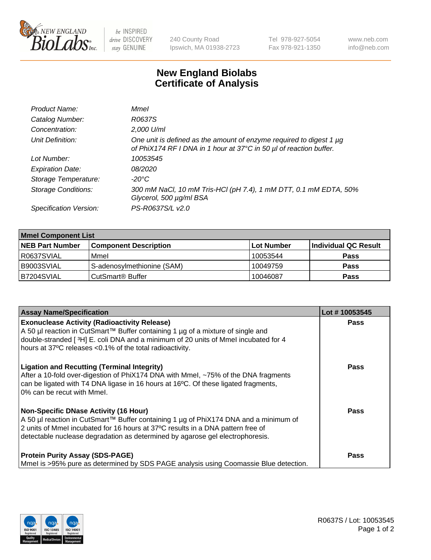

be INSPIRED drive DISCOVERY stay GENUINE

240 County Road Ipswich, MA 01938-2723 Tel 978-927-5054 Fax 978-921-1350 www.neb.com info@neb.com

## **New England Biolabs Certificate of Analysis**

| Product Name:              | Mmel                                                                                                                                      |
|----------------------------|-------------------------------------------------------------------------------------------------------------------------------------------|
| Catalog Number:            | R0637S                                                                                                                                    |
| Concentration:             | 2,000 U/ml                                                                                                                                |
| Unit Definition:           | One unit is defined as the amount of enzyme required to digest 1 µg<br>of PhiX174 RF I DNA in 1 hour at 37°C in 50 µl of reaction buffer. |
| Lot Number:                | 10053545                                                                                                                                  |
| <b>Expiration Date:</b>    | <i>08/2020</i>                                                                                                                            |
| Storage Temperature:       | -20°C                                                                                                                                     |
| <b>Storage Conditions:</b> | 300 mM NaCl, 10 mM Tris-HCl (pH 7.4), 1 mM DTT, 0.1 mM EDTA, 50%<br>Glycerol, 500 µg/ml BSA                                               |
| Specification Version:     | PS-R0637S/L v2.0                                                                                                                          |

| <b>Mmel Component List</b> |                                    |                   |                      |  |
|----------------------------|------------------------------------|-------------------|----------------------|--|
| <b>NEB Part Number</b>     | <b>Component Description</b>       | <b>Lot Number</b> | Individual QC Result |  |
| R0637SVIAL                 | Mmel                               | 10053544          | <b>Pass</b>          |  |
| B9003SVIAL                 | S-adenosylmethionine (SAM)         | 10049759          | <b>Pass</b>          |  |
| B7204SVIAL                 | <b>CutSmart<sup>®</sup> Buffer</b> | 10046087          | <b>Pass</b>          |  |

| <b>Assay Name/Specification</b>                                                                                                                                                                                                                                                                          | Lot #10053545 |
|----------------------------------------------------------------------------------------------------------------------------------------------------------------------------------------------------------------------------------------------------------------------------------------------------------|---------------|
| <b>Exonuclease Activity (Radioactivity Release)</b><br>A 50 µl reaction in CutSmart™ Buffer containing 1 µg of a mixture of single and<br>double-stranded [3H] E. coli DNA and a minimum of 20 units of Mmel incubated for 4<br>hours at 37°C releases <0.1% of the total radioactivity.                 | <b>Pass</b>   |
| <b>Ligation and Recutting (Terminal Integrity)</b><br>After a 10-fold over-digestion of PhiX174 DNA with Mmel, ~75% of the DNA fragments<br>can be ligated with T4 DNA ligase in 16 hours at 16°C. Of these ligated fragments,<br>0% can be recut with Mmel.                                             | Pass          |
| <b>Non-Specific DNase Activity (16 Hour)</b><br>A 50 µl reaction in CutSmart™ Buffer containing 1 µg of PhiX174 DNA and a minimum of<br>2 units of Mmel incubated for 16 hours at 37°C results in a DNA pattern free of<br>detectable nuclease degradation as determined by agarose gel electrophoresis. | Pass          |
| <b>Protein Purity Assay (SDS-PAGE)</b><br>Mmel is >95% pure as determined by SDS PAGE analysis using Coomassie Blue detection.                                                                                                                                                                           | Pass          |